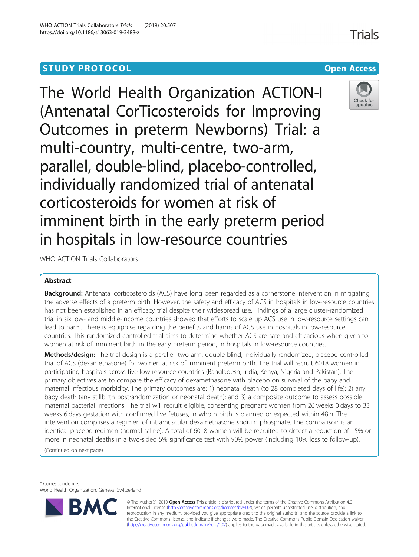# **STUDY PROTOCOL CONSUMING THE RESERVE ACCESS**

The World Health Organization ACTION-I (Antenatal CorTicosteroids for Improving Outcomes in preterm Newborns) Trial: a multi-country, multi-centre, two-arm, parallel, double-blind, placebo-controlled, individually randomized trial of antenatal corticosteroids for women at risk of imminent birth in the early preterm period in hospitals in low-resource countries

WHO ACTION Trials Collaborators

# Abstract

**Background:** Antenatal corticosteroids (ACS) have long been regarded as a cornerstone intervention in mitigating the adverse effects of a preterm birth. However, the safety and efficacy of ACS in hospitals in low-resource countries has not been established in an efficacy trial despite their widespread use. Findings of a large cluster-randomized trial in six low- and middle-income countries showed that efforts to scale up ACS use in low-resource settings can lead to harm. There is equipoise regarding the benefits and harms of ACS use in hospitals in low-resource countries. This randomized controlled trial aims to determine whether ACS are safe and efficacious when given to women at risk of imminent birth in the early preterm period, in hospitals in low-resource countries.

Methods/design: The trial design is a parallel, two-arm, double-blind, individually randomized, placebo-controlled trial of ACS (dexamethasone) for women at risk of imminent preterm birth. The trial will recruit 6018 women in participating hospitals across five low-resource countries (Bangladesh, India, Kenya, Nigeria and Pakistan). The primary objectives are to compare the efficacy of dexamethasone with placebo on survival of the baby and maternal infectious morbidity. The primary outcomes are: 1) neonatal death (to 28 completed days of life); 2) any baby death (any stillbirth postrandomization or neonatal death); and 3) a composite outcome to assess possible maternal bacterial infections. The trial will recruit eligible, consenting pregnant women from 26 weeks 0 days to 33 weeks 6 days gestation with confirmed live fetuses, in whom birth is planned or expected within 48 h. The intervention comprises a regimen of intramuscular dexamethasone sodium phosphate. The comparison is an identical placebo regimen (normal saline). A total of 6018 women will be recruited to detect a reduction of 15% or more in neonatal deaths in a two-sided 5% significance test with 90% power (including 10% loss to follow-up).

(Continued on next page)

\* Correspondence:

World Health Organization, Geneva, Switzerland



© The Author(s). 2019 **Open Access** This article is distributed under the terms of the Creative Commons Attribution 4.0 International License [\(http://creativecommons.org/licenses/by/4.0/](http://creativecommons.org/licenses/by/4.0/)), which permits unrestricted use, distribution, and reproduction in any medium, provided you give appropriate credit to the original author(s) and the source, provide a link to the Creative Commons license, and indicate if changes were made. The Creative Commons Public Domain Dedication waiver [\(http://creativecommons.org/publicdomain/zero/1.0/](http://creativecommons.org/publicdomain/zero/1.0/)) applies to the data made available in this article, unless otherwise stated.



**Trials**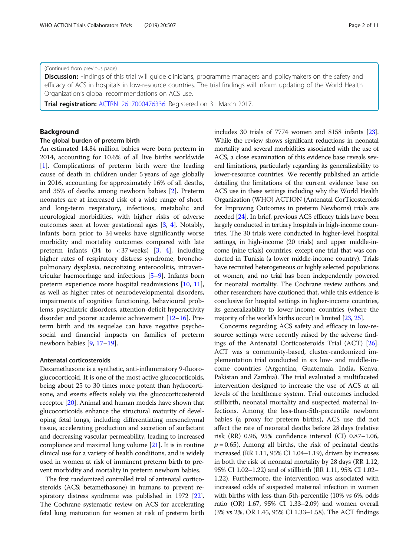#### (Continued from previous page)

Discussion: Findings of this trial will guide clinicians, programme managers and policymakers on the safety and efficacy of ACS in hospitals in low-resource countries. The trial findings will inform updating of the World Health Organization's global recommendations on ACS use.

Trial registration: [ACTRN12617000476336](https://www.anzctr.org.au/Trial/Registration/TrialReview.aspx?id=372284). Registered on 31 March 2017.

# Background

#### The global burden of preterm birth

An estimated 14.84 million babies were born preterm in 2014, accounting for 10.6% of all live births worldwide [[1\]](#page-9-0). Complications of preterm birth were the leading cause of death in children under 5 years of age globally in 2016, accounting for approximately 16% of all deaths, and 35% of deaths among newborn babies [\[2](#page-9-0)]. Preterm neonates are at increased risk of a wide range of shortand long-term respiratory, infectious, metabolic and neurological morbidities, with higher risks of adverse outcomes seen at lower gestational ages [\[3](#page-9-0), [4](#page-9-0)]. Notably, infants born prior to 34 weeks have significantly worse morbidity and mortality outcomes compared with late preterm infants  $(34 \text{ to } < 37 \text{ weeks})$  $(34 \text{ to } < 37 \text{ weeks})$  $(34 \text{ to } < 37 \text{ weeks})$   $[3, 4]$  $[3, 4]$  $[3, 4]$ , including higher rates of respiratory distress syndrome, bronchopulmonary dysplasia, necrotizing enterocolitis, intraventricular haemorrhage and infections [[5](#page-9-0)–[9\]](#page-9-0). Infants born preterm experience more hospital readmissions [[10,](#page-9-0) [11](#page-9-0)], as well as higher rates of neurodevelopmental disorders, impairments of cognitive functioning, behavioural problems, psychiatric disorders, attention-deficit hyperactivity disorder and poorer academic achievement [[12](#page-10-0)–[16](#page-10-0)]. Preterm birth and its sequelae can have negative psychosocial and financial impacts on families of preterm newborn babies [\[9,](#page-9-0) [17](#page-10-0)–[19\]](#page-10-0).

# Antenatal corticosteroids

Dexamethasone is a synthetic, anti-inflammatory 9-fluoroglucocorticoid. It is one of the most active glucocorticoids, being about 25 to 30 times more potent than hydrocortisone, and exerts effects solely via the glucocorticosteroid receptor [[20](#page-10-0)]. Animal and human models have shown that glucocorticoids enhance the structural maturity of developing fetal lungs, including differentiating mesenchymal tissue, accelerating production and secretion of surfactant and decreasing vascular permeability, leading to increased compliance and maximal lung volume [[21](#page-10-0)]. It is in routine clinical use for a variety of health conditions, and is widely used in women at risk of imminent preterm birth to prevent morbidity and mortality in preterm newborn babies.

The first randomized controlled trial of antenatal corticosteroids (ACS; betamethasone) in humans to prevent respiratory distress syndrome was published in 1972 [\[22](#page-10-0)]. The Cochrane systematic review on ACS for accelerating fetal lung maturation for women at risk of preterm birth includes 30 trials of 7774 women and 8158 infants [\[23](#page-10-0)]. While the review shows significant reductions in neonatal mortality and several morbidities associated with the use of ACS, a close examination of this evidence base reveals several limitations, particularly regarding its generalizability to lower-resource countries. We recently published an article detailing the limitations of the current evidence base on ACS use in these settings including why the World Health Organization (WHO) ACTION (Antenatal CorTicosteroids for Improving Outcomes in preterm Newborns) trials are needed [\[24\]](#page-10-0). In brief, previous ACS efficacy trials have been largely conducted in tertiary hospitals in high-income countries. The 30 trials were conducted in higher-level hospital settings, in high-income (20 trials) and upper middle-income (nine trials) countries, except one trial that was conducted in Tunisia (a lower middle-income country). Trials have recruited heterogeneous or highly selected populations of women, and no trial has been independently powered for neonatal mortality. The Cochrane review authors and other researchers have cautioned that, while this evidence is conclusive for hospital settings in higher-income countries, its generalizability to lower-income countries (where the majority of the world's births occur) is limited [[23](#page-10-0), [25](#page-10-0)].

Concerns regarding ACS safety and efficacy in low-resource settings were recently raised by the adverse findings of the Antenatal Corticosteroids Trial (ACT) [\[26](#page-10-0)]. ACT was a community-based, cluster-randomized implementation trial conducted in six low- and middle-income countries (Argentina, Guatemala, India, Kenya, Pakistan and Zambia). The trial evaluated a multifaceted intervention designed to increase the use of ACS at all levels of the healthcare system. Trial outcomes included stillbirth, neonatal mortality and suspected maternal infections. Among the less-than-5th-percentile newborn babies (a proxy for preterm births), ACS use did not affect the rate of neonatal deaths before 28 days (relative risk (RR) 0.96, 95% confidence interval (CI) 0.87–1.06,  $p = 0.65$ ). Among all births, the risk of perinatal deaths increased (RR 1.11, 95% CI 1.04–1.19), driven by increases in both the risk of neonatal mortality by 28 days (RR 1.12, 95% CI 1.02–1.22) and of stillbirth (RR 1.11, 95% CI 1.02– 1.22). Furthermore, the intervention was associated with increased odds of suspected maternal infection in women with births with less-than-5th-percentile (10% vs 6%, odds ratio (OR) 1.67, 95% CI 1.33–2.09) and women overall (3% vs 2%, OR 1.45, 95% CI 1.33–1.58). The ACT findings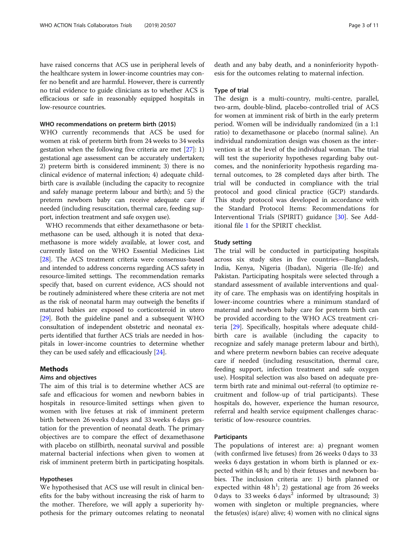have raised concerns that ACS use in peripheral levels of the healthcare system in lower-income countries may confer no benefit and are harmful. However, there is currently no trial evidence to guide clinicians as to whether ACS is efficacious or safe in reasonably equipped hospitals in low-resource countries.

#### WHO recommendations on preterm birth (2015)

WHO currently recommends that ACS be used for women at risk of preterm birth from 24 weeks to 34 weeks gestation when the following five criteria are met [\[27\]](#page-10-0): 1) gestational age assessment can be accurately undertaken; 2) preterm birth is considered imminent; 3) there is no clinical evidence of maternal infection; 4) adequate childbirth care is available (including the capacity to recognize and safely manage preterm labour and birth); and 5) the preterm newborn baby can receive adequate care if needed (including resuscitation, thermal care, feeding support, infection treatment and safe oxygen use).

WHO recommends that either dexamethasone or betamethasone can be used, although it is noted that dexamethasone is more widely available, at lower cost, and currently listed on the WHO Essential Medicines List [[28](#page-10-0)]. The ACS treatment criteria were consensus-based and intended to address concerns regarding ACS safety in resource-limited settings. The recommendation remarks specify that, based on current evidence, ACS should not be routinely administered where these criteria are not met as the risk of neonatal harm may outweigh the benefits if matured babies are exposed to corticosteroid in utero [[29](#page-10-0)]. Both the guideline panel and a subsequent WHO consultation of independent obstetric and neonatal experts identified that further ACS trials are needed in hospitals in lower-income countries to determine whether they can be used safely and efficaciously [[24\]](#page-10-0).

# Methods

# Aims and objectives

The aim of this trial is to determine whether ACS are safe and efficacious for women and newborn babies in hospitals in resource-limited settings when given to women with live fetuses at risk of imminent preterm birth between 26 weeks 0 days and 33 weeks 6 days gestation for the prevention of neonatal death. The primary objectives are to compare the effect of dexamethasone with placebo on stillbirth, neonatal survival and possible maternal bacterial infections when given to women at risk of imminent preterm birth in participating hospitals.

# Hypotheses

We hypothesised that ACS use will result in clinical benefits for the baby without increasing the risk of harm to the mother. Therefore, we will apply a superiority hypothesis for the primary outcomes relating to neonatal death and any baby death, and a noninferiority hypothesis for the outcomes relating to maternal infection.

#### Type of trial

The design is a multi-country, multi-centre, parallel, two-arm, double-blind, placebo-controlled trial of ACS for women at imminent risk of birth in the early preterm period. Women will be individually randomized (in a 1:1 ratio) to dexamethasone or placebo (normal saline). An individual randomization design was chosen as the intervention is at the level of the individual woman. The trial will test the superiority hypotheses regarding baby outcomes, and the noninferiority hypothesis regarding maternal outcomes, to 28 completed days after birth. The trial will be conducted in compliance with the trial protocol and good clinical practice (GCP) standards. This study protocol was developed in accordance with the Standard Protocol Items: Recommendations for Interventional Trials (SPIRIT) guidance [[30](#page-10-0)]. See Additional file [1](#page-8-0) for the SPIRIT checklist.

# Study setting

The trial will be conducted in participating hospitals across six study sites in five countries—Bangladesh, India, Kenya, Nigeria (Ibadan), Nigeria (Ile-Ife) and Pakistan. Participating hospitals were selected through a standard assessment of available interventions and quality of care. The emphasis was on identifying hospitals in lower-income countries where a minimum standard of maternal and newborn baby care for preterm birth can be provided according to the WHO ACS treatment criteria [[29\]](#page-10-0). Specifically, hospitals where adequate childbirth care is available (including the capacity to recognize and safely manage preterm labour and birth), and where preterm newborn babies can receive adequate care if needed (including resuscitation, thermal care, feeding support, infection treatment and safe oxygen use). Hospital selection was also based on adequate preterm birth rate and minimal out-referral (to optimize recruitment and follow-up of trial participants). These hospitals do, however, experience the human resource, referral and health service equipment challenges characteristic of low-resource countries.

#### Participants

The populations of interest are: a) pregnant women (with confirmed live fetuses) from 26 weeks 0 days to 33 weeks 6 days gestation in whom birth is planned or expected within 48 h; and b) their fetuses and newborn babies. The inclusion criteria are: 1) birth planned or expected within  $48 h<sup>1</sup>$ ; 2) gestational age from 26 weeks 0 days to  $33$  weeks  $6$  days<sup>2</sup> informed by ultrasound; 3) women with singleton or multiple pregnancies, where the fetus(es) is(are) alive; 4) women with no clinical signs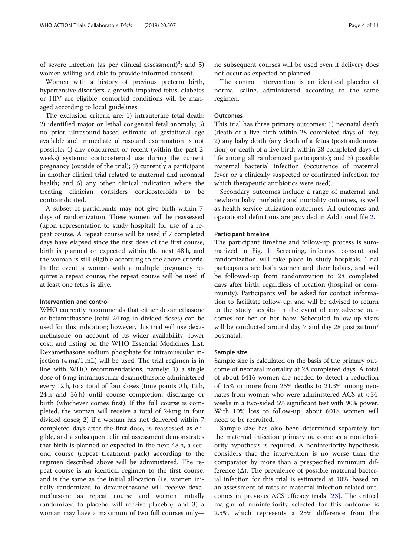of severe infection (as per clinical assessment)<sup>3</sup>; and 5) women willing and able to provide informed consent.

Women with a history of previous preterm birth, hypertensive disorders, a growth-impaired fetus, diabetes or HIV are eligible; comorbid conditions will be managed according to local guidelines.

The exclusion criteria are: 1) intrauterine fetal death; 2) identified major or lethal congenital fetal anomaly; 3) no prior ultrasound-based estimate of gestational age available and immediate ultrasound examination is not possible; 4) any concurrent or recent (within the past 2 weeks) systemic corticosteroid use during the current pregnancy (outside of the trial); 5) currently a participant in another clinical trial related to maternal and neonatal health; and 6) any other clinical indication where the treating clinician considers corticosteroids to be contraindicated.

A subset of participants may not give birth within 7 days of randomization. These women will be reassessed (upon representation to study hospital) for use of a repeat course. A repeat course will be used if 7 completed days have elapsed since the first dose of the first course, birth is planned or expected within the next 48 h, and the woman is still eligible according to the above criteria. In the event a woman with a multiple pregnancy requires a repeat course, the repeat course will be used if at least one fetus is alive.

### Intervention and control

WHO currently recommends that either dexamethasone or betamethasone (total 24 mg in divided doses) can be used for this indication; however, this trial will use dexamethasone on account of its wider availability, lower cost, and listing on the WHO Essential Medicines List. Dexamethasone sodium phosphate for intramuscular injection (4 mg/1 mL) will be used. The trial regimen is in line with WHO recommendations, namely: 1) a single dose of 6 mg intramuscular dexamethasone administered every 12 h, to a total of four doses (time points 0 h, 12 h, 24 h and 36 h) until course completion, discharge or birth (whichever comes first). If the full course is completed, the woman will receive a total of 24 mg in four divided doses; 2) if a woman has not delivered within 7 completed days after the first dose, is reassessed as eligible, and a subsequent clinical assessment demonstrates that birth is planned or expected in the next 48 h, a second course (repeat treatment pack) according to the regimen described above will be administered. The repeat course is an identical regimen to the first course, and is the same as the initial allocation (i.e. women initially randomized to dexamethasone will receive dexamethasone as repeat course and women initially randomized to placebo will receive placebo); and 3) a woman may have a maximum of two full courses only—

no subsequent courses will be used even if delivery does not occur as expected or planned.

The control intervention is an identical placebo of normal saline, administered according to the same regimen.

# **Outcomes**

This trial has three primary outcomes: 1) neonatal death (death of a live birth within 28 completed days of life); 2) any baby death (any death of a fetus (postrandomization) or death of a live birth within 28 completed days of life among all randomized participants); and 3) possible maternal bacterial infection (occurrence of maternal fever or a clinically suspected or confirmed infection for which therapeutic antibiotics were used).

Secondary outcomes include a range of maternal and newborn baby morbidity and mortality outcomes, as well as health service utilization outcomes. All outcomes and operational definitions are provided in Additional file [2](#page-8-0).

### Participant timeline

The participant timeline and follow-up process is summarized in Fig. [1](#page-4-0). Screening, informed consent and randomization will take place in study hospitals. Trial participants are both women and their babies, and will be followed-up from randomization to 28 completed days after birth, regardless of location (hospital or community). Participants will be asked for contact information to facilitate follow-up, and will be advised to return to the study hospital in the event of any adverse outcomes for her or her baby. Scheduled follow-up visits will be conducted around day 7 and day 28 postpartum/ postnatal.

#### Sample size

Sample size is calculated on the basis of the primary outcome of neonatal mortality at 28 completed days. A total of about 5416 women are needed to detect a reduction of 15% or more from 25% deaths to 21.3% among neonates from women who were administered ACS at < 34 weeks in a two-sided 5% significant test with 90% power. With 10% loss to follow-up, about 6018 women will need to be recruited.

Sample size has also been determined separately for the maternal infection primary outcome as a noninferiority hypothesis is required. A noninferiority hypothesis considers that the intervention is no worse than the comparator by more than a prespecified minimum difference (Δ). The prevalence of possible maternal bacterial infection for this trial is estimated at 10%, based on an assessment of rates of maternal infection-related outcomes in previous ACS efficacy trials [[23\]](#page-10-0). The critical margin of noninferiority selected for this outcome is 2.5%, which represents a 25% difference from the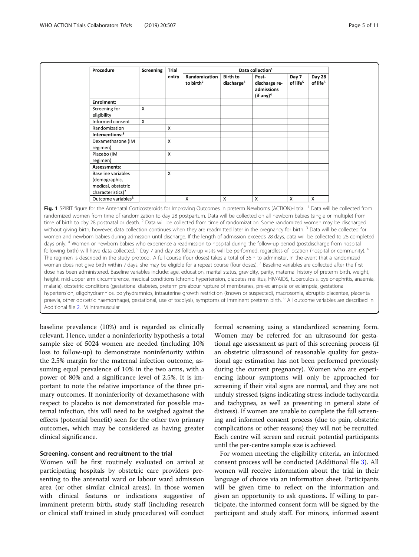<span id="page-4-0"></span>

| Procedure                                                                                  | Screening    | Trial                     | Data collection <sup>1</sup> |                           |                                                      |                      |                      |
|--------------------------------------------------------------------------------------------|--------------|---------------------------|------------------------------|---------------------------|------------------------------------------------------|----------------------|----------------------|
|                                                                                            |              | entry                     | Randomization                | <b>Birth to</b>           | Post-                                                | Day 7                | Day 28               |
|                                                                                            |              |                           | to birth <sup>2</sup>        | discharge <sup>3</sup>    | discharge re-<br>admissions<br>(if any) <sup>4</sup> | of life <sup>5</sup> | of life <sup>5</sup> |
| Enrolment:                                                                                 |              |                           |                              |                           |                                                      |                      |                      |
| Screening for<br>eligibility                                                               | $\times$     |                           |                              |                           |                                                      |                      |                      |
| Informed consent                                                                           | $\mathsf{x}$ |                           |                              |                           |                                                      |                      |                      |
| Randomization                                                                              |              | X                         |                              |                           |                                                      |                      |                      |
| Interventions: <sup>6</sup>                                                                |              |                           |                              |                           |                                                      |                      |                      |
| Dexamethasone (IM<br>regimen)                                                              |              | $\mathsf{x}$              |                              |                           |                                                      |                      |                      |
| Placebo (IM<br>regimen)                                                                    |              | $\boldsymbol{\mathsf{X}}$ |                              |                           |                                                      |                      |                      |
| Assessments:                                                                               |              |                           |                              |                           |                                                      |                      |                      |
| Baseline variables<br>(demographic,<br>medical, obstetric<br>characteristics) <sup>7</sup> |              | $\times$                  |                              |                           |                                                      |                      |                      |
| Outcome variables <sup>8</sup>                                                             |              |                           | $\times$                     | $\boldsymbol{\mathsf{x}}$ | X                                                    | $\times$             | X                    |

Fig. 1 SPIRIT figure for the Antenatal Corticosteroids for Improving Outcomes in preterm Newborns (ACTION)-I trial. <sup>1</sup> Data will be collected from randomized women from time of randomization to day 28 postpartum. Data will be collected on all newborn babies (single or multiple) from time of birth to day 28 postnatal or death.<sup>2</sup> Data will be collected from time of randomization. Some randomized women may be discharged without giving birth; however, data collection continues when they are readmitted later in the pregnancy for birth.<sup>3</sup> Data will be collected for women and newborn babies during admission until discharge. If the length of admission exceeds 28 days, data will be collected to 28 completed days only. <sup>4</sup> Women or newborn babies who experience a readmission to hospital during the follow-up period (postdischarge from hospital following birth) will have data collected. <sup>5</sup> Day 7 and day 28 follow-up visits will be performed, regardless of location (hospital or community). <sup>6</sup> The regimen is described in the study protocol. A full course (four doses) takes a total of 36 h to administer. In the event that a randomized woman does not give birth within 7 days, she may be eligible for a repeat course (four doses). <sup>7</sup> Baseline variables are collected after the first dose has been administered. Baseline variables include: age, education, marital status, gravidity, parity, maternal history of preterm birth, weight, height, mid-upper arm circumference, medical conditions (chronic hypertension, diabetes mellitus, HIV/AIDS, tuberculosis, pyelonephritis, anaemia, malaria), obstetric conditions (gestational diabetes, preterm prelabour rupture of membranes, pre-eclampsia or eclampsia, gestational hypertension, oligohydramnios, polyhydramnios, intrauterine growth restriction (known or suspected), macrosomia, abruptio placentae, placenta praevia, other obstetric haemorrhage), gestational, use of tocolysis, symptoms of imminent preterm birth. <sup>8</sup> All outcome variables are described in Additional file [2](#page-8-0). IM intramuscular

baseline prevalence (10%) and is regarded as clinically relevant. Hence, under a noninferiority hypothesis a total sample size of 5024 women are needed (including 10% loss to follow-up) to demonstrate noninferiority within the 2.5% margin for the maternal infection outcome, assuming equal prevalence of 10% in the two arms, with a power of 80% and a significance level of 2.5%. It is important to note the relative importance of the three primary outcomes. If noninferiority of dexamethasone with respect to placebo is not demonstrated for possible maternal infection, this will need to be weighed against the effects (potential benefit) seen for the other two primary outcomes, which may be considered as having greater clinical significance.

### Screening, consent and recruitment to the trial

Women will be first routinely evaluated on arrival at participating hospitals by obstetric care providers presenting to the antenatal ward or labour ward admission area (or other similar clinical areas). In those women with clinical features or indications suggestive of imminent preterm birth, study staff (including research or clinical staff trained in study procedures) will conduct

formal screening using a standardized screening form. Women may be referred for an ultrasound for gestational age assessment as part of this screening process (if an obstetric ultrasound of reasonable quality for gestational age estimation has not been performed previously during the current pregnancy). Women who are experiencing labour symptoms will only be approached for screening if their vital signs are normal, and they are not unduly stressed (signs indicating stress include tachycardia and tachypnea, as well as presenting in general state of distress). If women are unable to complete the full screening and informed consent process (due to pain, obstetric complications or other reasons) they will not be recruited. Each centre will screen and recruit potential participants until the per-centre sample size is achieved.

For women meeting the eligibility criteria, an informed consent process will be conducted (Additional file [3](#page-8-0)). All women will receive information about the trial in their language of choice via an information sheet. Participants will be given time to reflect on the information and given an opportunity to ask questions. If willing to participate, the informed consent form will be signed by the participant and study staff. For minors, informed assent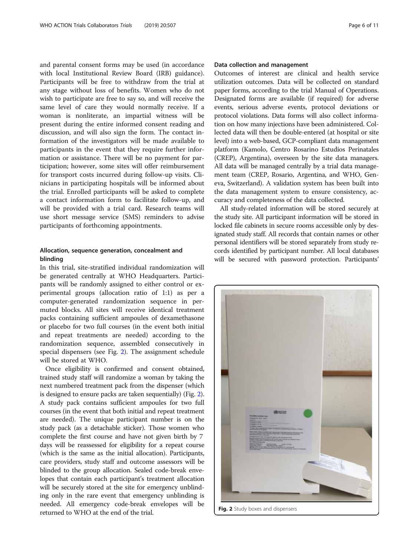and parental consent forms may be used (in accordance with local Institutional Review Board (IRB) guidance). Participants will be free to withdraw from the trial at any stage without loss of benefits. Women who do not wish to participate are free to say so, and will receive the same level of care they would normally receive. If a woman is nonliterate, an impartial witness will be present during the entire informed consent reading and discussion, and will also sign the form. The contact information of the investigators will be made available to participants in the event that they require further information or assistance. There will be no payment for participation; however, some sites will offer reimbursement for transport costs incurred during follow-up visits. Clinicians in participating hospitals will be informed about the trial. Enrolled participants will be asked to complete a contact information form to facilitate follow-up, and will be provided with a trial card. Research teams will use short message service (SMS) reminders to advise participants of forthcoming appointments.

# Allocation, sequence generation, concealment and blinding

In this trial, site-stratified individual randomization will be generated centrally at WHO Headquarters. Participants will be randomly assigned to either control or experimental groups (allocation ratio of 1:1) as per a computer-generated randomization sequence in permuted blocks. All sites will receive identical treatment packs containing sufficient ampoules of dexamethasone or placebo for two full courses (in the event both initial and repeat treatments are needed) according to the randomization sequence, assembled consecutively in special dispensers (see Fig. 2). The assignment schedule will be stored at WHO.

Once eligibility is confirmed and consent obtained, trained study staff will randomize a woman by taking the next numbered treatment pack from the dispenser (which is designed to ensure packs are taken sequentially) (Fig. 2). A study pack contains sufficient ampoules for two full courses (in the event that both initial and repeat treatment are needed). The unique participant number is on the study pack (as a detachable sticker). Those women who complete the first course and have not given birth by 7 days will be reassessed for eligibility for a repeat course (which is the same as the initial allocation). Participants, care providers, study staff and outcome assessors will be blinded to the group allocation. Sealed code-break envelopes that contain each participant's treatment allocation will be securely stored at the site for emergency unblinding only in the rare event that emergency unblinding is needed. All emergency code-break envelopes will be returned to WHO at the end of the trial.

# Data collection and management

Outcomes of interest are clinical and health service utilization outcomes. Data will be collected on standard paper forms, according to the trial Manual of Operations. Designated forms are available (if required) for adverse events, serious adverse events, protocol deviations or protocol violations. Data forms will also collect information on how many injections have been administered. Collected data will then be double-entered (at hospital or site level) into a web-based, GCP-compliant data management platform (Kamolo, Centro Rosarino Estudios Perinatales (CREP), Argentina), overseen by the site data managers. All data will be managed centrally by a trial data management team (CREP, Rosario, Argentina, and WHO, Geneva, Switzerland). A validation system has been built into the data management system to ensure consistency, accuracy and completeness of the data collected.

All study-related information will be stored securely at the study site. All participant information will be stored in locked file cabinets in secure rooms accessible only by designated study staff. All records that contain names or other personal identifiers will be stored separately from study records identified by participant number. All local databases will be secured with password protection. Participants'



Fig. 2 Study boxes and dispensers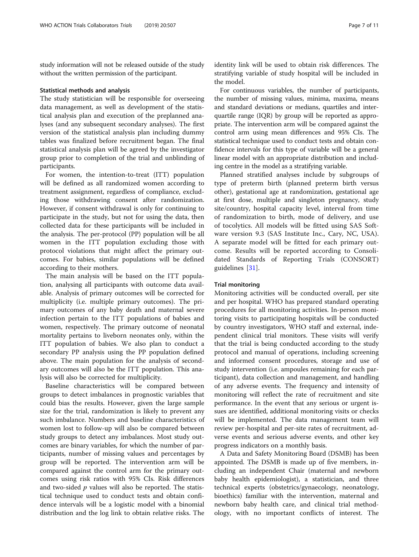study information will not be released outside of the study without the written permission of the participant.

#### Statistical methods and analysis

The study statistician will be responsible for overseeing data management, as well as development of the statistical analysis plan and execution of the preplanned analyses (and any subsequent secondary analyses). The first version of the statistical analysis plan including dummy tables was finalized before recruitment began. The final statistical analysis plan will be agreed by the investigator group prior to completion of the trial and unblinding of participants.

For women, the intention-to-treat (ITT) population will be defined as all randomized women according to treatment assignment, regardless of compliance, excluding those withdrawing consent after randomization. However, if consent withdrawal is only for continuing to participate in the study, but not for using the data, then collected data for these participants will be included in the analysis. The per-protocol (PP) population will be all women in the ITT population excluding those with protocol violations that might affect the primary outcomes. For babies, similar populations will be defined according to their mothers.

The main analysis will be based on the ITT population, analysing all participants with outcome data available. Analysis of primary outcomes will be corrected for multiplicity (i.e. multiple primary outcomes). The primary outcomes of any baby death and maternal severe infection pertain to the ITT populations of babies and women, respectively. The primary outcome of neonatal mortality pertains to liveborn neonates only, within the ITT population of babies. We also plan to conduct a secondary PP analysis using the PP population defined above. The main population for the analysis of secondary outcomes will also be the ITT population. This analysis will also be corrected for multiplicity.

Baseline characteristics will be compared between groups to detect imbalances in prognostic variables that could bias the results. However, given the large sample size for the trial, randomization is likely to prevent any such imbalance. Numbers and baseline characteristics of women lost to follow-up will also be compared between study groups to detect any imbalances. Most study outcomes are binary variables, for which the number of participants, number of missing values and percentages by group will be reported. The intervention arm will be compared against the control arm for the primary outcomes using risk ratios with 95% CIs. Risk differences and two-sided  $p$  values will also be reported. The statistical technique used to conduct tests and obtain confidence intervals will be a logistic model with a binomial distribution and the log link to obtain relative risks. The identity link will be used to obtain risk differences. The stratifying variable of study hospital will be included in the model.

For continuous variables, the number of participants, the number of missing values, minima, maxima, means and standard deviations or medians, quartiles and interquartile range (IQR) by group will be reported as appropriate. The intervention arm will be compared against the control arm using mean differences and 95% CIs. The statistical technique used to conduct tests and obtain confidence intervals for this type of variable will be a general linear model with an appropriate distribution and including centre in the model as a stratifying variable.

Planned stratified analyses include by subgroups of type of preterm birth (planned preterm birth versus other), gestational age at randomization, gestational age at first dose, multiple and singleton pregnancy, study site/country, hospital capacity level, interval from time of randomization to birth, mode of delivery, and use of tocolytics. All models will be fitted using SAS Software version 9.3 (SAS Institute Inc., Cary, NC, USA). A separate model will be fitted for each primary outcome. Results will be reported according to Consolidated Standards of Reporting Trials (CONSORT) guidelines [[31\]](#page-10-0).

#### Trial monitoring

Monitoring activities will be conducted overall, per site and per hospital. WHO has prepared standard operating procedures for all monitoring activities. In-person monitoring visits to participating hospitals will be conducted by country investigators, WHO staff and external, independent clinical trial monitors. These visits will verify that the trial is being conducted according to the study protocol and manual of operations, including screening and informed consent procedures, storage and use of study intervention (i.e. ampoules remaining for each participant), data collection and management, and handling of any adverse events. The frequency and intensity of monitoring will reflect the rate of recruitment and site performance. In the event that any serious or urgent issues are identified, additional monitoring visits or checks will be implemented. The data management team will review per-hospital and per-site rates of recruitment, adverse events and serious adverse events, and other key progress indicators on a monthly basis.

A Data and Safety Monitoring Board (DSMB) has been appointed. The DSMB is made up of five members, including an independent Chair (maternal and newborn baby health epidemiologist), a statistician, and three technical experts (obstetrics/gynaecology, neonatology, bioethics) familiar with the intervention, maternal and newborn baby health care, and clinical trial methodology, with no important conflicts of interest. The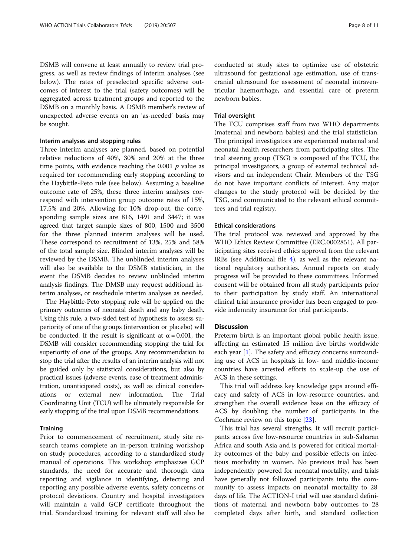DSMB will convene at least annually to review trial progress, as well as review findings of interim analyses (see below). The rates of preselected specific adverse outcomes of interest to the trial (safety outcomes) will be aggregated across treatment groups and reported to the DSMB on a monthly basis. A DSMB member's review of unexpected adverse events on an 'as-needed' basis may be sought.

#### Interim analyses and stopping rules

Three interim analyses are planned, based on potential relative reductions of 40%, 30% and 20% at the three time points, with evidence reaching the  $0.001$  *p* value as required for recommending early stopping according to the Haybittle-Peto rule (see below). Assuming a baseline outcome rate of 25%, these three interim analyses correspond with intervention group outcome rates of 15%, 17.5% and 20%. Allowing for 10% drop-out, the corresponding sample sizes are 816, 1491 and 3447; it was agreed that target sample sizes of 800, 1500 and 3500 for the three planned interim analyses will be used. These correspond to recruitment of 13%, 25% and 58% of the total sample size. Blinded interim analyses will be reviewed by the DSMB. The unblinded interim analyses will also be available to the DSMB statistician, in the event the DSMB decides to review unblinded interim analysis findings. The DMSB may request additional interim analyses, or reschedule interim analyses as needed.

The Haybittle-Peto stopping rule will be applied on the primary outcomes of neonatal death and any baby death. Using this rule, a two-sided test of hypothesis to assess superiority of one of the groups (intervention or placebo) will be conducted. If the result is significant at  $\alpha = 0.001$ , the DSMB will consider recommending stopping the trial for superiority of one of the groups. Any recommendation to stop the trial after the results of an interim analysis will not be guided only by statistical considerations, but also by practical issues (adverse events, ease of treatment administration, unanticipated costs), as well as clinical considerations or external new information. The Trial Coordinating Unit (TCU) will be ultimately responsible for early stopping of the trial upon DSMB recommendations.

#### **Training**

Prior to commencement of recruitment, study site research teams complete an in-person training workshop on study procedures, according to a standardized study manual of operations. This workshop emphasizes GCP standards, the need for accurate and thorough data reporting and vigilance in identifying, detecting and reporting any possible adverse events, safety concerns or protocol deviations. Country and hospital investigators will maintain a valid GCP certificate throughout the trial. Standardized training for relevant staff will also be conducted at study sites to optimize use of obstetric ultrasound for gestational age estimation, use of transcranial ultrasound for assessment of neonatal intraventricular haemorrhage, and essential care of preterm newborn babies.

# Trial oversight

The TCU comprises staff from two WHO departments (maternal and newborn babies) and the trial statistician. The principal investigators are experienced maternal and neonatal health researchers from participating sites. The trial steering group (TSG) is composed of the TCU, the principal investigators, a group of external technical advisors and an independent Chair. Members of the TSG do not have important conflicts of interest. Any major changes to the study protocol will be decided by the TSG, and communicated to the relevant ethical committees and trial registry.

#### Ethical considerations

The trial protocol was reviewed and approved by the WHO Ethics Review Committee (ERC.0002851). All participating sites received ethics approval from the relevant IRBs (see Additional file [4\)](#page-8-0), as well as the relevant national regulatory authorities. Annual reports on study progress will be provided to these committees. Informed consent will be obtained from all study participants prior to their participation by study staff. An international clinical trial insurance provider has been engaged to provide indemnity insurance for trial participants.

# **Discussion**

Preterm birth is an important global public health issue, affecting an estimated 15 million live births worldwide each year [[1\]](#page-9-0). The safety and efficacy concerns surrounding use of ACS in hospitals in low- and middle-income countries have arrested efforts to scale-up the use of ACS in these settings.

This trial will address key knowledge gaps around efficacy and safety of ACS in low-resource countries, and strengthen the overall evidence base on the efficacy of ACS by doubling the number of participants in the Cochrane review on this topic [\[23\]](#page-10-0).

This trial has several strengths. It will recruit participants across five low-resource countries in sub-Saharan Africa and south Asia and is powered for critical mortality outcomes of the baby and possible effects on infectious morbidity in women. No previous trial has been independently powered for neonatal mortality, and trials have generally not followed participants into the community to assess impacts on neonatal mortality to 28 days of life. The ACTION-I trial will use standard definitions of maternal and newborn baby outcomes to 28 completed days after birth, and standard collection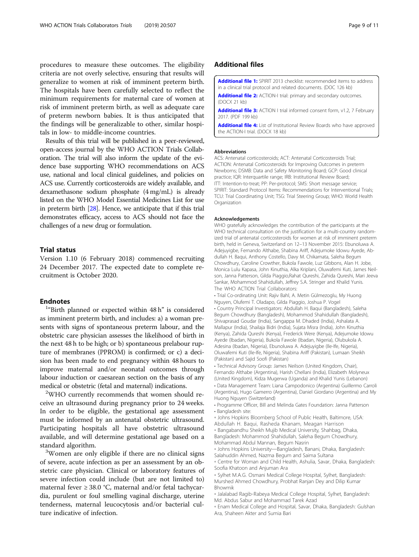<span id="page-8-0"></span>procedures to measure these outcomes. The eligibility criteria are not overly selective, ensuring that results will generalize to women at risk of imminent preterm birth. The hospitals have been carefully selected to reflect the minimum requirements for maternal care of women at risk of imminent preterm birth, as well as adequate care of preterm newborn babies. It is thus anticipated that the findings will be generalizable to other, similar hospitals in low- to middle-income countries.

Results of this trial will be published in a peer-reviewed, open-access journal by the WHO ACTION Trials Collaboration. The trial will also inform the update of the evidence base supporting WHO recommendations on ACS use, national and local clinical guidelines, and policies on ACS use. Currently corticosteroids are widely available, and dexamethasone sodium phosphate (4 mg/mL) is already listed on the WHO Model Essential Medicines List for use in preterm birth [\[28\]](#page-10-0). Hence, we anticipate that if this trial demonstrates efficacy, access to ACS should not face the challenges of a new drug or formulation.

# Trial status

Version 1.10 (6 February 2018) commenced recruiting 24 December 2017. The expected date to complete recruitment is October 2020.

# **Endnotes**

<sup>1</sup>"Birth planned or expected within 48 h" is considered as imminent preterm birth, and includes: a) a woman presents with signs of spontaneous preterm labour, and the obstetric care physician assesses the likelihood of birth in the next 48 h to be high; or b) spontaneous prelabour rupture of membranes (PPROM) is confirmed; or c) a decision has been made to end pregnancy within 48 hours to improve maternal and/or neonatal outcomes through labour induction or caesarean section on the basis of any medical or obstetric (fetal and maternal) indications. <sup>2</sup>

<sup>2</sup>WHO currently recommends that women should receive an ultrasound during pregnancy prior to 24 weeks. In order to be eligible, the gestational age assessment must be informed by an antenatal obstetric ultrasound. Participating hospitals all have obstetric ultrasound available, and will determine gestational age based on a standard algorithm. <sup>3</sup>

<sup>3</sup>Women are only eligible if there are no clinical signs of severe, acute infection as per an assessment by an obstetric care physician. Clinical or laboratory features of severe infection could include (but are not limited to) maternal fever  $\geq 38.0$  °C, maternal and/or fetal tachycardia, purulent or foul smelling vaginal discharge, uterine tenderness, maternal leucocytosis and/or bacterial culture indicative of infection.

# Additional files

[Additional file 1:](https://doi.org/10.1186/s13063-019-3488-z) SPIRIT 2013 checklist: recommended items to address in a clinical trial protocol and related documents. (DOC 126 kb)

[Additional file 2:](https://doi.org/10.1186/s13063-019-3488-z) ACTION-I trial: primary and secondary outcomes. (DOCX 21 kb)

[Additional file 3:](https://doi.org/10.1186/s13063-019-3488-z) ACTION I trial informed consent form, v1.2, 7 February 2017. (PDF 199 kb)

[Additional file 4:](https://doi.org/10.1186/s13063-019-3488-z) List of Institutional Review Boards who have approved the ACTION-I trial. (DOCX 18 kb)

#### Abbreviations

ACS: Antenatal corticosteroids; ACT: Antenatal Corticosteroids Trial; ACTION: Antenatal Corticosteroids for Improving Outcomes in preterm Newborns; DSMB: Data and Safety Monitoring Board; GCP: Good clinical practice; IQR: Interquartile range; IRB: Institutional Review Board; ITT: Intention-to-treat; PP: Per-protocol; SMS: Short message service; SPIRIT: Standard Protocol Items: Recommendations for Interventional Trials; TCU: Trial Coordinating Unit; TSG: Trial Steering Group; WHO: World Health **Organization** 

#### Acknowledgements

WHO gratefully acknowledges the contribution of the participants at the WHO technical consultation on the justification for a multi-country randomized trial of antenatal corticosteroids for women at risk of imminent preterm birth, held in Geneva, Switzerland on 12–13 November 2015: Ebunoluwa A. Adejuyigbe, Fernando Althabe, Shabina Ariff, Adejumoke Idowu Ayede, Abdullah H. Baqui, Anthony Costello, Davy M. Chikamata, Saleha Begum Chowdhury, Caroline Crowther, Bukola Fawole, Luz Gibbons, Alan H. Jobe, Monica Lulu Kapasa, John Kinuthia, Alka Kriplani, Oluwafemi Kuti, James Neilson, Janna Patterson, Gilda Piaggio,Rahat Qureshi, Zahida Qureshi, Mari Jeeva Sankar, Mohammod Shahidullah, Jeffrey S.A. Stringer and Khalid Yunis. The WHO ACTION Trial Collaborators:

• Trial Co-ordinating Unit: Rajiv Bahl, A. Metin Gülmezoglu, My Huong Nguyen, Olufemi T. Oladapo, Gilda Piaggio, Joshua P. Vogel • Country Principal Investigators: Abdullah H. Baqui (Bangladesh), Saleha Begum Chowdhury (Bangladesh), Mohammod Shahidullah (Bangladesh), Shivaprasad Goudar (India), Sangappa M. Dhaded (India), Ashalata A. Mallapur (India), Shailaja Bidri (India), Sujata Misra (India), John Kinuthia (Kenya), Zahida Qureshi (Kenya), Frederick Were (Kenya), Adejumoke Idowu Ayede (Ibadan, Nigeria), Bukola Fawole (Ibadan, Nigeria), Olubukola A. Adesina (Ibadan, Nigeria), Ebunoluwa A. Adejuyigbe (Ile-Ife, Nigeria), Oluwafemi Kuti (Ile-Ife, Nigeria), Shabina Ariff (Pakistan), Lumaan Sheikh (Pakistan) and Sajid Soofi (Pakistan)

• Technical Advisory Group: James Neilson (United Kingdom, Chair), Fernando Althabe (Argentina), Harish Chellani (India), Elizabeth Molyneux (United Kingdom), Kidza Mugerwa (Uganda) and Khalid Yunis (Lebanon) • Data Management Team: Liana Campodonico (Argentina) Guillermo Carroli (Argentina), Hugo Gamerro (Argentina), Daniel Giordano (Argentina) and My Huong Nguyen (Switzerland)

• Programme Officer, Bill and Melinda Gates Foundation: Janna Patterson • Bangladesh site:

◦ Johns Hopkins Bloomberg School of Public Health, Baltimore, USA: Abdullah H. Baqui, Rasheda Khanam, Meagan Harrison

◦ Bangabandhu Sheikh Mujib Medical University, Shahbag, Dhaka, Bangladesh: Mohammod Shahidullah, Saleha Begum Chowdhury, Mohammad Abdul Mannan, Begum Nasrin

◦ Johns Hopkins University—Bangladesh, Banani, Dhaka, Bangladesh: Salahuddin Ahmed, Nazma Begum and Saima Sultana

◦ Centre for Woman and Child Health, Ashulia, Savar, Dhaka, Bangladesh: Soofia Khatoon and Anjuman Ara

◦ Sylhet M.A.G. Osmani Medical College Hospital, Sylhet, Bangladesh: Murshed Ahmed Chowdhury, Probhat Ranjan Dey and Dilip Kumar Bhowmik

◦ Jalalabad Ragib-Rabeya Medical College Hospital, Sylhet, Bangladesh: Md. Abdus Sabur and Mohammad Tarek Azad

◦ Enam Medical College and Hospital, Savar, Dhaka, Bangladesh: Gulshan Ara, Shaheen Akter and Sumia Bari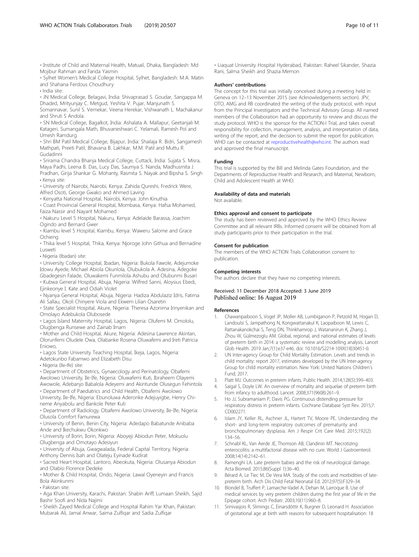<span id="page-9-0"></span>◦ Institute of Child and Maternal Health, Matuail, Dhaka, Bangladesh: Md Mojibur Rahman and Farida Yasmin

◦ Sylhet Women's Medical College Hospital, Sylhet, Bangladesh: M.A. Matin and Shahana Ferdous Choudhury • India site:

◦ JN Medical College, Belagavi, India: Shivaprasad S. Goudar, Sangappa M. Dhaded, Mrityunjay C. Metgud, Yeshita V. Pujar, Manjunath S.

Somannavar, Sunil S. Vernekar, Veena Herekar, Vishwanath L. Machakanur and Shruti S Andola.

◦ SN Medical College, Bagalkot, India: Ashalata A. Mallapur, Geetanjali M. Katageri, Sumangala Math, Bhuvaneshwari C. Yelamali, Ramesh Pol and Umesh Ramdurg.

◦ Shri BM Patil Medical College, Bijapur, India: Shailaja R. Bidri, Sangamesh Mathpati, Preeti Patil, Bhavana B. Lakhkar, M.M. Patil and Muttu R. Gudadinni

◦ Srirama Chandra Bhanja Medical College, Cuttack, India: Sujata S. Misra, Maya Padhi, Leena B. Das, Lucy Das, Saumya S. Nanda, Madhusmita J. Pradhan, Girija Shankar G. Mohanty, Rasmita S. Nayak and Bipsha S. Singh

• Kenya site: ◦ University of Nairobi, Nairobi, Kenya: Zahida Qureshi, Fredrick Were,

Alfred Osoti, George Gwako and Ahmed Laving ◦ Kenyatta National Hospital, Nairobi, Kenya: John Kinuthia

◦ Coast Provincial General Hospital, Mombasa, Kenya: Hafsa Mohamed, Faiza Nassir and Nayarit Mohamed

◦ Nakuru Level 5 Hospital, Nakuru, Kenya: Adelaide Barassa, Joachim Ogindo and Bernard Gwer

◦ Kiambu level 5 Hospital, Kiambu, Kenya: Waweru Salome and Grace Ochieng

◦ Thika level 5 Hospital, Thika, Kenya: Njoroge John Githua and Bernadine Lusweti

• Nigeria (Ibadan) site:

◦ University College Hospital, Ibadan, Nigeria: Bukola Fawole, Adejumoke Idowu Ayede, Michael Abiola Okunlola, Olubukola A. Adesina, Adegoke Gbadegesin Falade, Oluwakemi Funmilola Ashubu and Olubunmi Busari

◦ Kubwa General Hospital, Abuja, Nigeria: Wilfred Sanni, Aloysius Ebedi, Ejinkeonye I. Kate and Odiah Violet

◦ Nyanya General Hospital, Abuja, Nigeria: Hadiza Abdulaziz Idris, Fatima Ali Sallau, Okoli Chinyere Viola and Ekwem Lilian Osaretin

◦ State Specialist Hospital, Akure, Nigeria: Theresa Azonima Irinyenikan and Omolayo Adebukola Olubosede

◦ Lagos Island Maternity Hospital, Lagos, Nigeria: Olufemi M. Omololu, Olugbenga Runsewe and Zainab Imam

◦ Mother and Child Hospital, Akure, Nigeria: Adesina Lawrence Akintan, Olorunfemi Oludele Owa, Olabanke Rosena Oluwafemi and Ireti Patricia Eniowo,

◦ Lagos State University Teaching Hospital, Ikeja, Lagos, Nigeria:

Adetokunbo Fabamwo and Elizabeth Disu

• Nigeria (Ile-Ife) site:

◦ Department of Obstetrics, Gynaecology and Perinatology, Obafemi Awolowo University, Ile-Ife, Nigeria: Oluwafemi Kuti, Ibraheem Olayemi

Awowole, Adebanjo Babalola Adeyemi and Akintunde Olusegun Fehintola ◦ Department of Paediatrics and Child Health, Obafemi Awolowo

University, Ile-Ife, Nigeria: Ebunoluwa Aderonke Adejuyigbe, Henry Chineme Anyabolu and Bankole Peter Kuti

◦ Department of Radiology, Obafemi Awolowo University, Ile-Ife, Nigeria: Olusola Comfort Famurewa

◦ University of Benin, Benin City, Nigeria: Adedapo Babatunde Anibaba Ande and Ikechukwu Okonkwo

◦ University of Ilorin, Ilorin, Nigeria: Aboyeji Abiodun Peter, Mokuolu Olugbenga and Omotayo Adesiyun

◦ University of Abuja, Gwagwalada, Federal Capital Territory, Nigeria: Anthony Dennis Isah and Olateju Eyinade Kudirat

◦ Sacred Heart Hospital, Lantoro, Abeokuta, Nigeria: Olusanya Abiodun and Olabisi Florence Dedeke

◦ Mother & Child Hospital, Ondo, Nigeria: Lawal Oyeneyin and Francis Bola Akinkunmi

• Pakistan site:

◦ Aga Khan University, Karachi, Pakistan: Shabin Ariff, Lumaan Sheikh, Sajid Bashir Soofi and Nida Najimi

◦ Sheikh Zayed Medical College and Hospital Rahim Yar Khan, Pakistan: Mubarak Ali, Jamal Anwar, Saima Zulfiqar and Sadia Zulfiqar

◦ Liaquat University Hospital Hyderabad, Pakistan: Raheel Sikander, Shazia Rani, Salma Sheikh and Shazia Memon

#### Authors' contributions

The concept for this trial was initially conceived during a meeting held in Geneva on 12–13 November 2015 (see Acknowledgements section). JPV, OTO, AMG and RB coordinated the writing of the study protocol, with input from the Principal Investigators and the Technical Advisory Group. All named members of the Collaboration had an opportunity to review and discuss the study protocol. WHO is the sponsor for the ACTION-I Trial, and takes overall responsibility for collection, management, analysis, and interpretation of data, writing of the report, and the decision to submit the report for publication. WHO can be contacted at [reproductivehealth@who.int](mailto:reproductivehealth@who.int). The authors read and approved the final manuscript.

#### Funding

This trial is supported by the Bill and Melinda Gates Foundation, and the Departments of Reproductive Health and Research, and Maternal, Newborn, Child and Adolescent Health at WHO.

#### Availability of data and materials

Not available.

#### Ethics approval and consent to participate

The study has been reviewed and approved by the WHO Ethics Review Committee and all relevant IRBs. Informed consent will be obtained from all study participants prior to their participation in the trial.

#### Consent for publication

The members of the WHO ACTION Trials Collaboration consent to publication.

#### Competing interests

The authors declare that they have no competing interests.

#### Received: 11 December 2018 Accepted: 3 June 2019 Published online: 16 August 2019

#### References

- 1. Chawanpaiboon S, Vogel JP, Moller AB, Lumbiganon P, Petzold M, Hogan D, Landoulsi S, Jampathong N, Kongwattanakul K, Laopaiboon M, Lewis C, Rattanakanokchai S, Teng DN, Thinkhamrop J, Watananirun K, Zhang J, Zhou W, Gülmezoglu AM. Global, regional, and national estimates of levels of preterm birth in 2014: a systematic review and modelling analysis. Lancet Glob Health. 2019 Jan;7(1):e37-e46. doi: 10.1016/S2214-109X(18)30451-0.
- 2. UN Inter-agency Group for Child Mortality Estimation. Levels and trends in child mortality: report 2017, estimates developed by the UN Inter-agency Group for child mortality estimation. New York: United Nations Children's Fund; 2017.
- 3. Platt MJ. Outcomes in preterm infants. Public Health. 2014;128(5):399–403.
- 4. Saigal S, Doyle LW. An overview of mortality and sequelae of preterm birth from infancy to adulthood. Lancet. 2008;371(9608):261–9.
- 5. Ho JJ, Subramaniam P, Davis PG. Continuous distending pressure for respiratory distress in preterm infants. Cochrane Database Syst Rev. 2015;7: CD002271.
- Islam JY, Keller RL, Aschner JL, Hartert TV, Moore PE. Understanding the short- and long-term respiratory outcomes of prematurity and bronchopulmonary dysplasia. Am J Respir Crit Care Med. 2015;192(2): 134–56.
- 7. Schnabl KL, Van Aerde JE, Thomson AB, Clandinin MT. Necrotizing enterocolitis: a multifactorial disease with no cure. World J Gastroenterol. 2008;14(14):2142–61.
- 8. Ramenghi LA. Late preterm babies and the risk of neurological damage. Acta Biomed. 2015;86(Suppl 1):36–40.
- 9. Bérard A, Le Tiec M, De Vera MA. Study of the costs and morbidities of latepreterm birth. Arch Dis Child Fetal Neonatal Ed. 2012;97(5):F329–34.
- 10. Blondel B, Truffert P, Lamarche-Vadel A, Dehan M, Larroque B. Use of medical services by very preterm children during the first year of life in the Epipage cohort. Arch Pediatr. 2003;10(11):960–8.
- 11. Srinivasjois R, Slimings C, Einarsdóttir K, Burgner D, Leonard H. Association of gestational age at birth with reasons for subsequent hospitalisation: 18